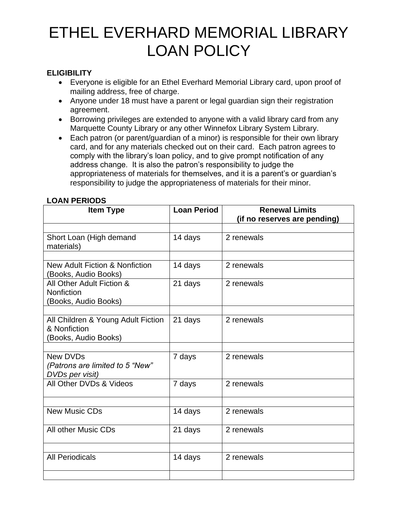# ETHEL EVERHARD MEMORIAL LIBRARY LOAN POLICY

#### **ELIGIBILITY**

- Everyone is eligible for an Ethel Everhard Memorial Library card, upon proof of mailing address, free of charge.
- Anyone under 18 must have a parent or legal guardian sign their registration agreement.
- Borrowing privileges are extended to anyone with a valid library card from any Marquette County Library or any other Winnefox Library System Library.
- Each patron (or parent/guardian of a minor) is responsible for their own library card, and for any materials checked out on their card. Each patron agrees to comply with the library's loan policy, and to give prompt notification of any address change. It is also the patron's responsibility to judge the appropriateness of materials for themselves, and it is a parent's or guardian's responsibility to judge the appropriateness of materials for their minor.

| <b>Item Type</b>                                                           | <b>Loan Period</b> | <b>Renewal Limits</b><br>(if no reserves are pending) |
|----------------------------------------------------------------------------|--------------------|-------------------------------------------------------|
|                                                                            |                    |                                                       |
| Short Loan (High demand<br>materials)                                      | 14 days            | 2 renewals                                            |
| New Adult Fiction & Nonfiction<br>(Books, Audio Books)                     | 14 days            | 2 renewals                                            |
| All Other Adult Fiction &<br><b>Nonfiction</b><br>(Books, Audio Books)     | 21 days            | 2 renewals                                            |
| All Children & Young Adult Fiction<br>& Nonfiction<br>(Books, Audio Books) | 21 days            | 2 renewals                                            |
| New DVDs<br>(Patrons are limited to 5 "New"<br>DVDs per visit)             | 7 days             | 2 renewals                                            |
| All Other DVDs & Videos                                                    | 7 days             | 2 renewals                                            |
| <b>New Music CDs</b>                                                       | 14 days            | 2 renewals                                            |
| All other Music CDs                                                        | 21 days            | 2 renewals                                            |
| <b>All Periodicals</b>                                                     | 14 days            | 2 renewals                                            |

#### **LOAN PERIODS**